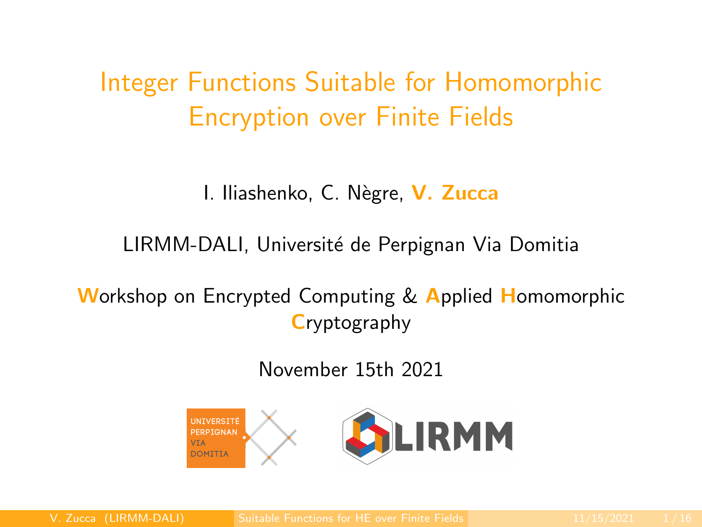<span id="page-0-0"></span>Integer Functions Suitable for Homomorphic Encryption over Finite Fields

I. Iliashenko, C. Nègre, V. Zucca

LIRMM-DALI, Université de Perpignan Via Domitia

**Workshop on Encrypted Computing & Applied Homomorphic Cryptography** 

November 15th 2021

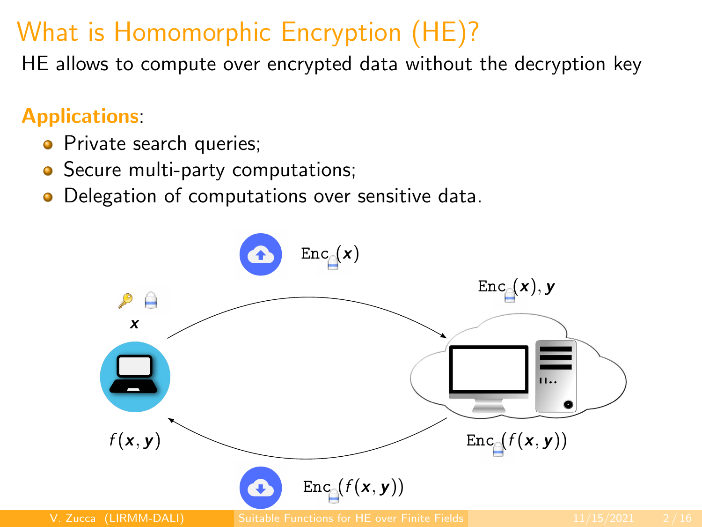# What is Homomorphic Encryption (HE)?

HE allows to compute over encrypted data without the decryption key

#### Applications:

- **•** Private search queries;
- Secure multi-party computations;
- Delegation of computations over sensitive data.

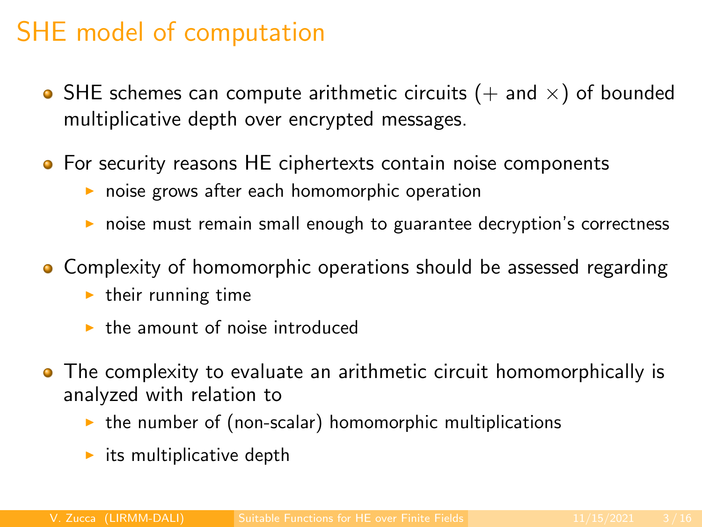# SHE model of computation

- SHE schemes can compute arithmetic circuits ( $+$  and  $\times$ ) of bounded multiplicative depth over encrypted messages.
- **•** For security reasons HE ciphertexts contain noise components
	- $\triangleright$  noise grows after each homomorphic operation
	- $\triangleright$  noise must remain small enough to guarantee decryption's correctness
- Complexity of homomorphic operations should be assessed regarding
	- $\blacktriangleright$  their running time
	- $\blacktriangleright$  the amount of noise introduced
- The complexity to evaluate an arithmetic circuit homomorphically is analyzed with relation to
	- $\triangleright$  the number of (non-scalar) homomorphic multiplications
	- $\blacktriangleright$  its multiplicative depth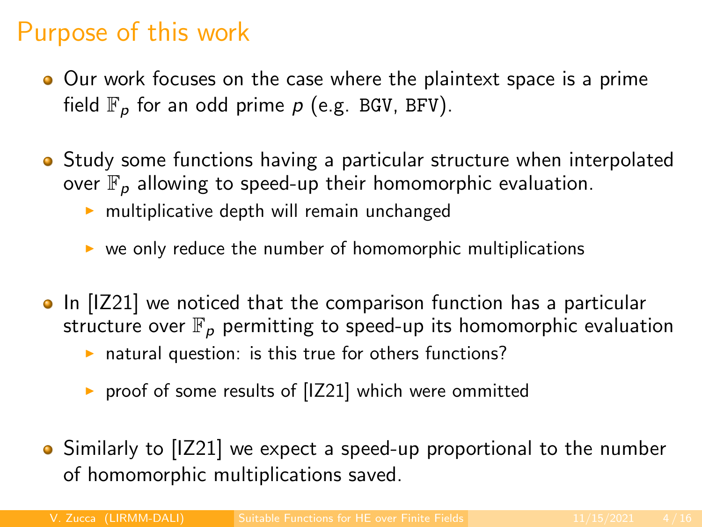# Purpose of this work

- Our work focuses on the case where the plaintext space is a prime field  $\mathbb{F}_p$  for an odd prime p (e.g. BGV, BFV).
- Study some functions having a particular structure when interpolated over  $\mathbb{F}_p$  allowing to speed-up their homomorphic evaluation.
	- $\triangleright$  multiplicative depth will remain unchanged
	- $\triangleright$  we only reduce the number of homomorphic multiplications
- In [IZ21] we noticed that the comparison function has a particular structure over  $\mathbb{F}_p$  permitting to speed-up its homomorphic evaluation
	- $\triangleright$  natural question: is this true for others functions?
	- $\triangleright$  proof of some results of [IZ21] which were ommitted
- Similarly to [IZ21] we expect a speed-up proportional to the number of homomorphic multiplications saved.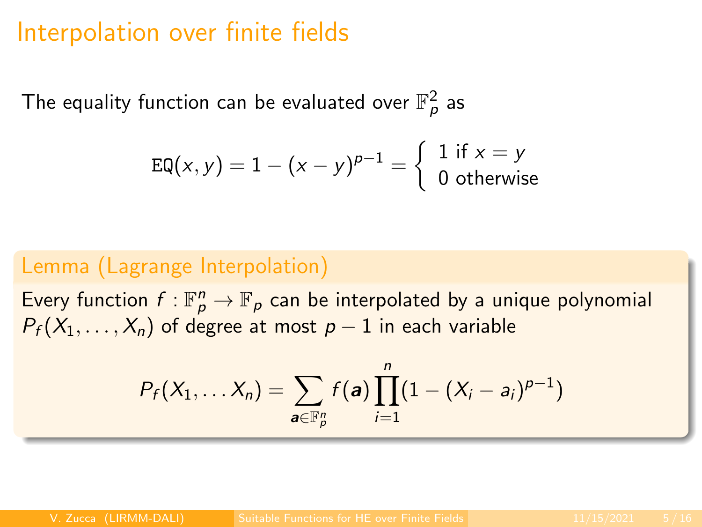### Interpolation over finite fields

The equality function can be evaluated over  $\mathbb{F}_\rho^2$  as

$$
EQ(x, y) = 1 - (x - y)^{p-1} = \begin{cases} 1 & \text{if } x = y \\ 0 & \text{otherwise} \end{cases}
$$

#### Lemma (Lagrange Interpolation)

Every function  $f: \mathbb{F}_p^n \to \mathbb{F}_p$  can be interpolated by a unique polynomial  $P_f(X_1, \ldots, X_n)$  of degree at most  $p-1$  in each variable

$$
P_f(X_1,... X_n) = \sum_{\mathbf{a} \in \mathbb{F}_p^n} f(\mathbf{a}) \prod_{i=1}^n (1 - (X_i - a_i)^{p-1})
$$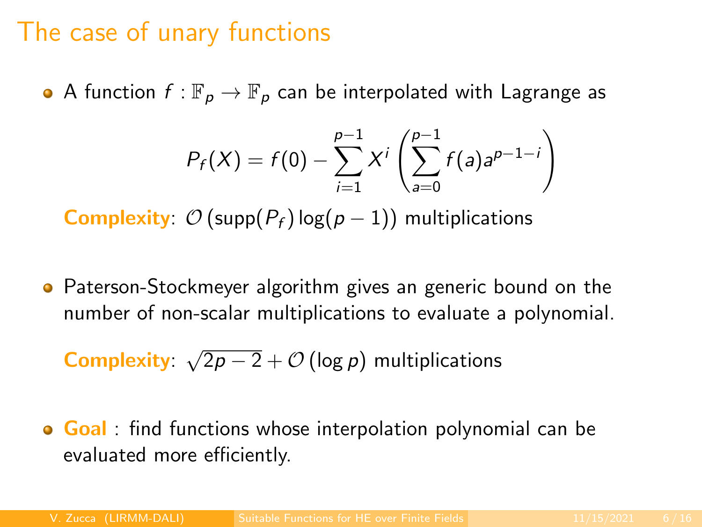### The case of unary functions

• A function  $f : \mathbb{F}_p \to \mathbb{F}_p$  can be interpolated with Lagrange as

$$
P_f(X) = f(0) - \sum_{i=1}^{p-1} X^i \left( \sum_{a=0}^{p-1} f(a) a^{p-1-i} \right)
$$

**Complexity:**  $\mathcal{O}(\text{supp}(P_f) \log(p-1))$  multiplications

**•** Paterson-Stockmeyer algorithm gives an generic bound on the number of non-scalar multiplications to evaluate a polynomial.

Complexity: √  $\overline{2p-2}+{\cal O}\left(\log p\right)$  multiplications

**Goal** : find functions whose interpolation polynomial can be evaluated more efficiently.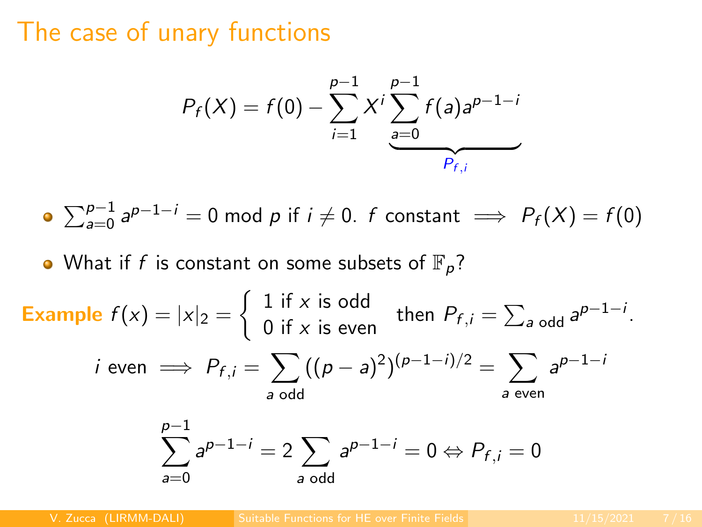### The case of unary functions

$$
P_f(X) = f(0) - \sum_{i=1}^{p-1} X^i \sum_{a=0}^{p-1} f(a) a^{p-1-i}
$$

• 
$$
\sum_{a=0}^{p-1} a^{p-1-i} = 0 \mod p \text{ if } i \neq 0. \text{ } f \text{ constant } \implies P_f(X) = f(0)
$$

• What if f is constant on some subsets of  $\mathbb{F}_p$ ?

**Example** 
$$
f(x) = |x|_2 = \begin{cases} 1 \text{ if } x \text{ is odd} \\ 0 \text{ if } x \text{ is even} \end{cases}
$$
 then  $P_{f,i} = \sum_{a \text{ odd}} a^{p-1-i}$ .  
\n $i \text{ even } \implies P_{f,i} = \sum_{a \text{ odd}} ((p-a)^2)^{(p-1-i)/2} = \sum_{a \text{ even}} a^{p-1-i}$   
\n $\sum_{a} p^{-1-i} = 2 \sum_{a} a^{p-1-i} = 0 \Leftrightarrow P_{f,i} = 0$ 

a odd

 $a=0$ 

V. Zucca (LIRMM-DALI) [Suitable Functions for HE over Finite Fields](#page-0-0) 11/15/2021 7 / 16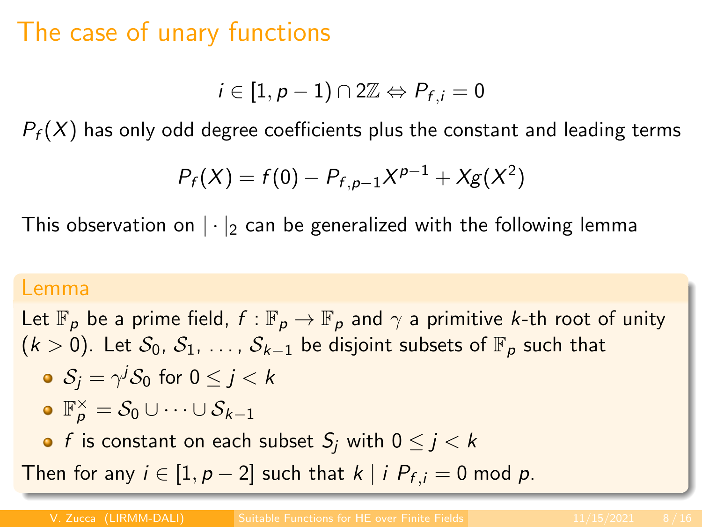# The case of unary functions

$$
i\in [1,p-1)\cap 2\mathbb{Z}\Leftrightarrow P_{f,i}=0
$$

 $P_f(X)$  has only odd degree coefficients plus the constant and leading terms

$$
P_f(X) = f(0) - P_{f, p-1}X^{p-1} + Xg(X^2)
$$

This observation on  $|\cdot|_2$  can be generalized with the following lemma

#### Lemma

Let  $\mathbb{F}_p$  be a prime field,  $f : \mathbb{F}_p \to \mathbb{F}_p$  and  $\gamma$  a primitive k-th root of unity  $(k > 0)$ . Let  $S_0, S_1, \ldots, S_{k-1}$  be disjoint subsets of  $\mathbb{F}_p$  such that  $\mathcal{S}_j = \gamma^j \mathcal{S}_0$  for  $0 \leq j < k$  $\mathbb{F}_p^\times = \mathcal{S}_0 \cup \cdots \cup \mathcal{S}_{k-1}$ • f is constant on each subset  $S_i$  with  $0 \le i \le k$ Then for any  $i \in [1, p-2]$  such that  $k \mid i \ P_{f,i} = 0$  mod p.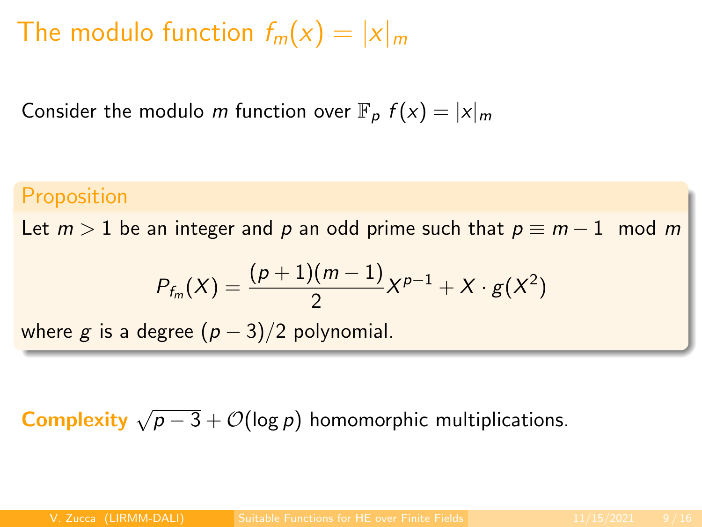# The modulo function  $f_m(x) = |x|_m$

Consider the modulo m function over  $\mathbb{F}_p$   $f(x) = |x|_m$ 

#### **Proposition**

Let  $m > 1$  be an integer and p an odd prime such that  $p \equiv m - 1 \mod m$ 

$$
P_{f_m}(X) = \frac{(p+1)(m-1)}{2}X^{p-1} + X \cdot g(X^2)
$$

where g is a degree  $(p-3)/2$  polynomial.

# **Complexity**  $\sqrt{p-3} + \mathcal{O}(\log p)$  homomorphic multiplications.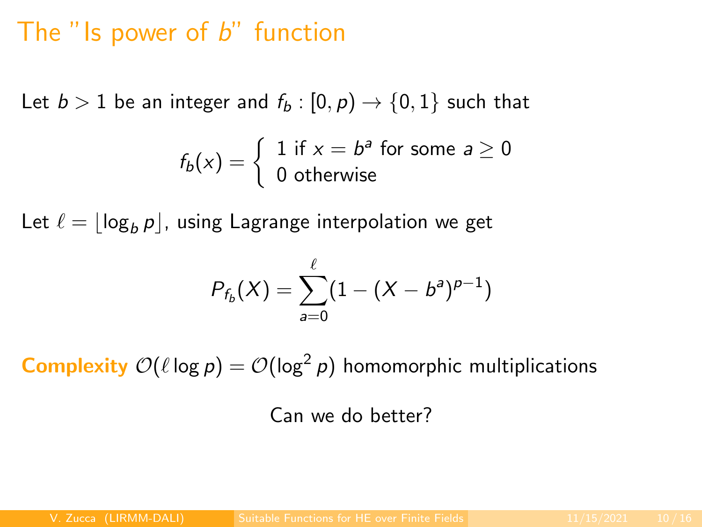### The " $\mathsf{Is}$  power of  $\mathsf{b}$ " function

Let  $b > 1$  be an integer and  $f_b : [0, p) \rightarrow \{0, 1\}$  such that

$$
f_b(x) = \begin{cases} 1 \text{ if } x = b^a \text{ for some } a \ge 0 \\ 0 \text{ otherwise} \end{cases}
$$

Let  $\ell = |\log_b p|$ , using Lagrange interpolation we get

$$
P_{f_b}(X) = \sum_{a=0}^{\ell} (1 - (X - b^a)^{p-1})
$$

**Complexity**  $\mathcal{O}(\ell \log p) = \mathcal{O}(\log^2 p)$  homomorphic multiplications

Can we do better?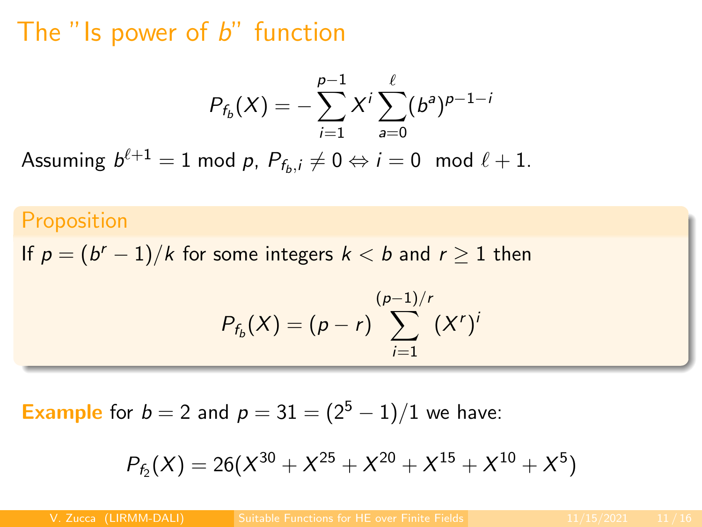### The "Is power of  $b$ " function

$$
P_{f_b}(X) = -\sum_{i=1}^{p-1} X^i \sum_{a=0}^{\ell} (b^a)^{p-1-i}
$$

Assuming  $b^{\ell+1} = 1$  mod p,  $P_{f_b,i} \neq 0 \Leftrightarrow i = 0 \mod \ell + 1$ .

#### Proposition

If  $p = (b^r - 1)/k$  for some integers  $k < b$  and  $r \ge 1$  then

$$
P_{f_b}(X) = (p - r) \sum_{i=1}^{(p-1)/r} (X^r)^i
$$

**Example** for  $b = 2$  and  $p = 31 = (2^5 - 1)/1$  we have:

$$
P_{f_2}(X) = 26(X^{30} + X^{25} + X^{20} + X^{15} + X^{10} + X^5)
$$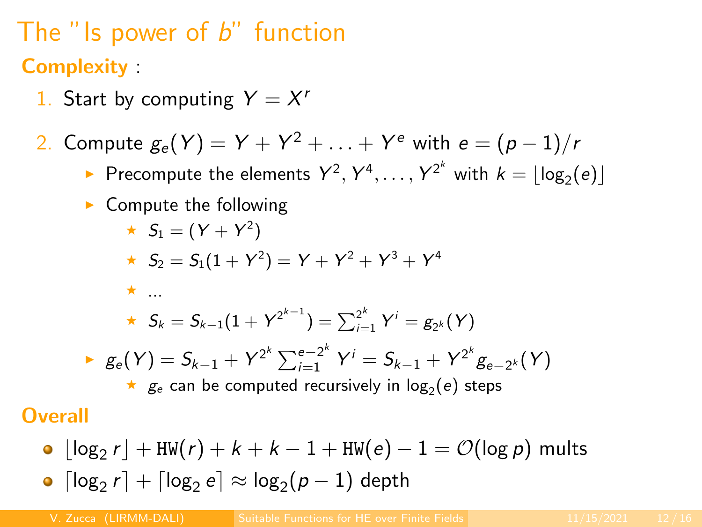# The "Is power of  $b$ " function **Complexity**

- 1. Start by computing  $Y = X^r$
- $2.$  Compute  $g_e(Y) = Y + Y^2 + \ldots + Y^e$  with  $e = (p-1)/r$ 
	- Precompute the elements  $Y^2, Y^4, \ldots, Y^{2^k}$  with  $k = \lfloor \log_2(e) \rfloor$
	- $\blacktriangleright$  Compute the following

★ 
$$
S_1 = (Y + Y^2)
$$
  
★  $S_2 = S_1(1 + Y^2) = Y + Y^2 + Y^3 + Y^4$ 

$$
\star \ldots
$$

$$
\star \;\; \mathcal{S}_k = \mathcal{S}_{k-1}(1 + Y^{2^{k-1}}) = \textstyle\sum_{i=1}^{2^k} Y^i = g_{2^k}(Y)
$$

▶ 
$$
g_e(Y) = S_{k-1} + Y^{2^k} \sum_{i=1}^{e-2^k} Y^i = S_{k-1} + Y^{2^k} g_{e-2^k}(Y)
$$
  
\n★  $g_e$  can be computed recursively in  $log_2(e)$  steps

**Overall** 

- $\lfloor \log_2 r \rfloor + \texttt{HW}(r) + k + k 1 + \texttt{HW}(e) 1 = \mathcal{O}(\log p)$  mults
- $\lceil \log_2 r \rceil + \lceil \log_2 e \rceil \approx \log_2 (p-1)$  depth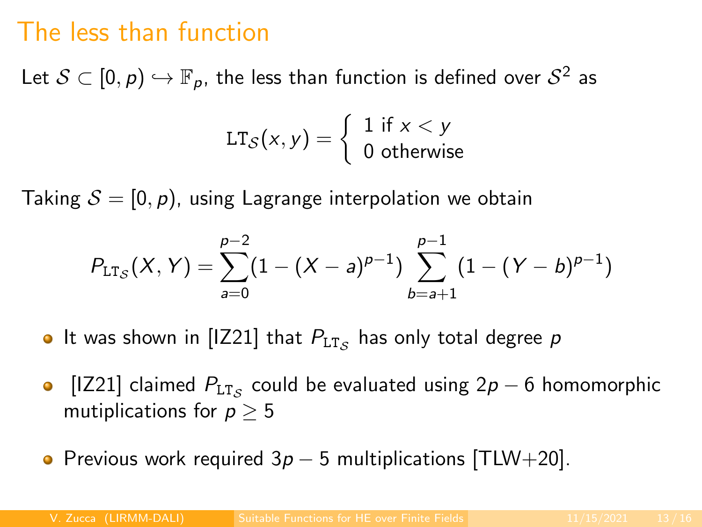# The less than function

Let  $\mathcal{S}\subset [0,\rho)\hookrightarrow \mathbb{F}_\rho$ , the less than function is defined over  $\mathcal{S}^2$  as

$$
LT_{\mathcal{S}}(x,y) = \begin{cases} 1 \text{ if } x < y \\ 0 \text{ otherwise} \end{cases}
$$

Taking  $S = [0, p)$ , using Lagrange interpolation we obtain

$$
P_{\mathtt{LT}_\mathcal{S}}(X,Y) = \sum_{a=0}^{p-2} (1-(X-a)^{p-1}) \sum_{b=a+1}^{p-1} (1-(Y-b)^{p-1})
$$

- It was shown in [IZ21] that  $P_{\text{\rm LT}_\mathcal{S}}$  has only total degree  $p$
- [IZ21] claimed  $P_{LT_{\mathcal{S}}}$  could be evaluated using 2p 6 homomorphic  $\bullet$ mutiplications for  $p > 5$
- Previous work required  $3p 5$  multiplications [TLW+20].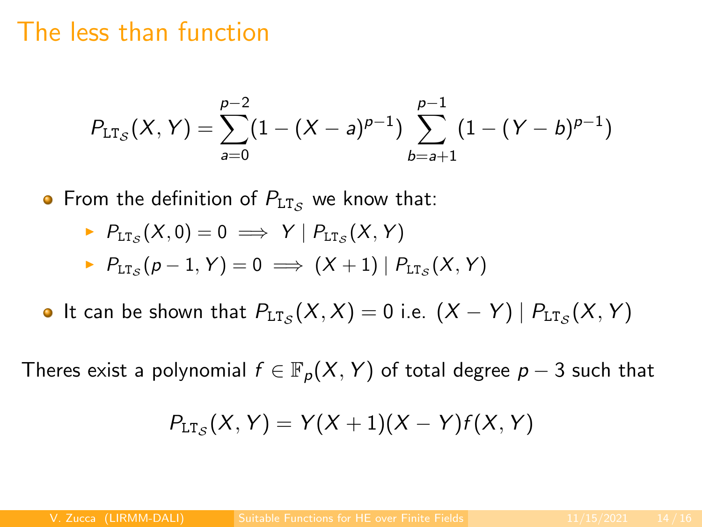### The less than function

$$
P_{\mathtt{LT}_\mathcal{S}}(X,Y) = \sum_{a=0}^{p-2} (1-(X-a)^{p-1}) \sum_{b=a+1}^{p-1} (1-(Y-b)^{p-1})
$$

• From the definition of  $P_{LT,s}$  we know that:

$$
\begin{aligned}\n&\vdash P_{\text{LT}_{\mathcal{S}}}(X,0) = 0 \implies Y \mid P_{\text{LT}_{\mathcal{S}}}(X,Y) \\
&\vdash P_{\text{LT}_{\mathcal{S}}}(p-1,Y) = 0 \implies (X+1) \mid P_{\text{LT}_{\mathcal{S}}}(X,Y)\n\end{aligned}
$$

It can be shown that  $P_{\texttt{LT}_\mathcal{S}}(X,X) = 0$  i.e.  $(X - Y) | P_{\texttt{LT}_\mathcal{S}}(X,Y)$ 

Theres exist a polynomial  $f \in \mathbb{F}_p(X, Y)$  of total degree  $p-3$  such that

$$
P_{\text{LT}_\mathcal{S}}(X,Y)=Y(X+1)(X-Y)f(X,Y)
$$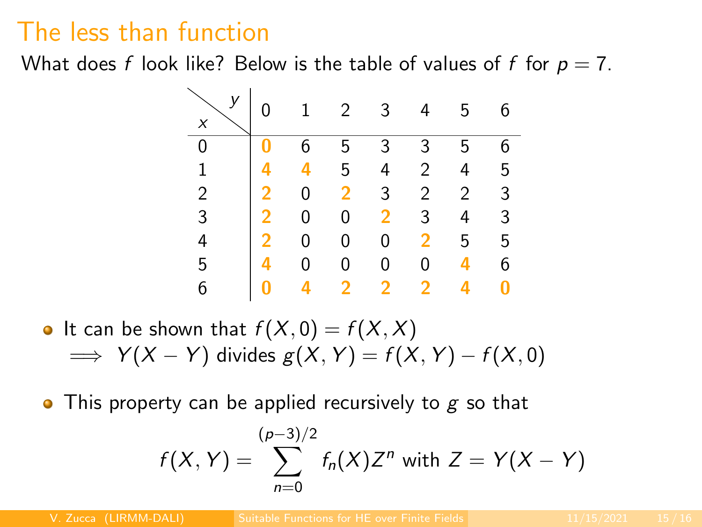# The less than function

What does f look like? Below is the table of values of f for  $p = 7$ .



• It can be shown that 
$$
f(X, 0) = f(X, X)
$$
  
\n $\implies Y(X - Y)$  divides  $g(X, Y) = f(X, Y) - f(X, 0)$ 

• This property can be applied recursively to  $g$  so that

$$
f(X, Y) = \sum_{n=0}^{(p-3)/2} f_n(X) Z^n
$$
 with  $Z = Y(X - Y)$